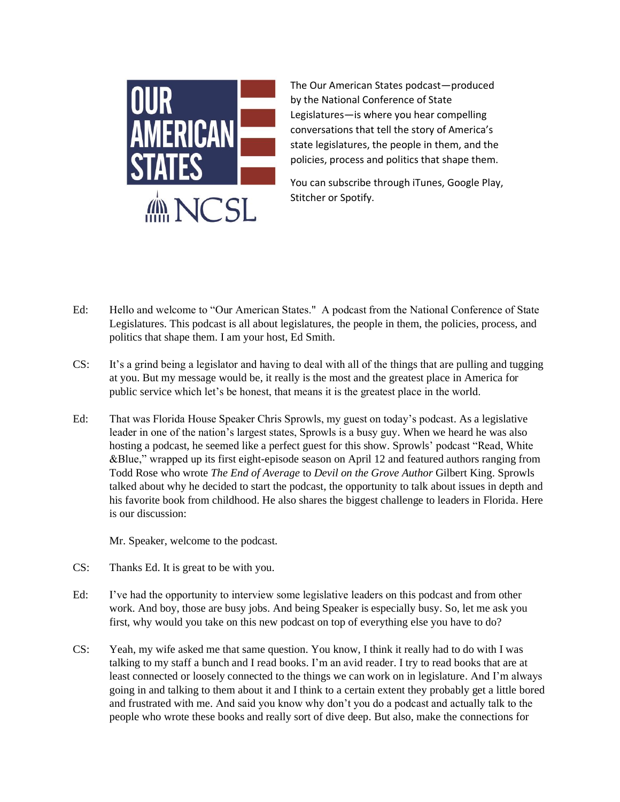

The Our American States podcast—produced by the National Conference of State Legislatures—is where you hear compelling conversations that tell the story of America's state legislatures, the people in them, and the policies, process and politics that shape them.

You can subscribe through iTunes, Google Play, Stitcher or Spotify.

- Ed: Hello and welcome to "Our American States." A podcast from the National Conference of State Legislatures. This podcast is all about legislatures, the people in them, the policies, process, and politics that shape them. I am your host, Ed Smith.
- CS: It's a grind being a legislator and having to deal with all of the things that are pulling and tugging at you. But my message would be, it really is the most and the greatest place in America for public service which let's be honest, that means it is the greatest place in the world.
- Ed: That was Florida House Speaker Chris Sprowls, my guest on today's podcast. As a legislative leader in one of the nation's largest states, Sprowls is a busy guy. When we heard he was also hosting a podcast, he seemed like a perfect guest for this show. Sprowls' podcast "Read, White &Blue," wrapped up its first eight-episode season on April 12 and featured authors ranging from Todd Rose who wrote *The End of Average* to *Devil on the Grove Author* Gilbert King. Sprowls talked about why he decided to start the podcast, the opportunity to talk about issues in depth and his favorite book from childhood. He also shares the biggest challenge to leaders in Florida. Here is our discussion:

Mr. Speaker, welcome to the podcast.

- CS: Thanks Ed. It is great to be with you.
- Ed: I've had the opportunity to interview some legislative leaders on this podcast and from other work. And boy, those are busy jobs. And being Speaker is especially busy. So, let me ask you first, why would you take on this new podcast on top of everything else you have to do?
- CS: Yeah, my wife asked me that same question. You know, I think it really had to do with I was talking to my staff a bunch and I read books. I'm an avid reader. I try to read books that are at least connected or loosely connected to the things we can work on in legislature. And I'm always going in and talking to them about it and I think to a certain extent they probably get a little bored and frustrated with me. And said you know why don't you do a podcast and actually talk to the people who wrote these books and really sort of dive deep. But also, make the connections for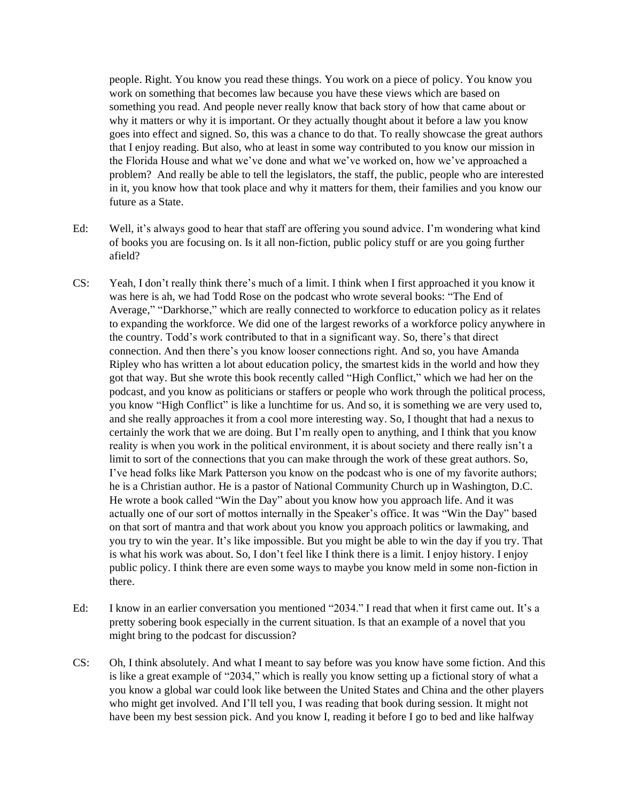people. Right. You know you read these things. You work on a piece of policy. You know you work on something that becomes law because you have these views which are based on something you read. And people never really know that back story of how that came about or why it matters or why it is important. Or they actually thought about it before a law you know goes into effect and signed. So, this was a chance to do that. To really showcase the great authors that I enjoy reading. But also, who at least in some way contributed to you know our mission in the Florida House and what we've done and what we've worked on, how we've approached a problem? And really be able to tell the legislators, the staff, the public, people who are interested in it, you know how that took place and why it matters for them, their families and you know our future as a State.

- Ed: Well, it's always good to hear that staff are offering you sound advice. I'm wondering what kind of books you are focusing on. Is it all non-fiction, public policy stuff or are you going further afield?
- CS: Yeah, I don't really think there's much of a limit. I think when I first approached it you know it was here is ah, we had Todd Rose on the podcast who wrote several books: "The End of Average," "Darkhorse," which are really connected to workforce to education policy as it relates to expanding the workforce. We did one of the largest reworks of a workforce policy anywhere in the country. Todd's work contributed to that in a significant way. So, there's that direct connection. And then there's you know looser connections right. And so, you have Amanda Ripley who has written a lot about education policy, the smartest kids in the world and how they got that way. But she wrote this book recently called "High Conflict," which we had her on the podcast, and you know as politicians or staffers or people who work through the political process, you know "High Conflict" is like a lunchtime for us. And so, it is something we are very used to, and she really approaches it from a cool more interesting way. So, I thought that had a nexus to certainly the work that we are doing. But I'm really open to anything, and I think that you know reality is when you work in the political environment, it is about society and there really isn't a limit to sort of the connections that you can make through the work of these great authors. So, I've head folks like Mark Patterson you know on the podcast who is one of my favorite authors; he is a Christian author. He is a pastor of National Community Church up in Washington, D.C. He wrote a book called "Win the Day" about you know how you approach life. And it was actually one of our sort of mottos internally in the Speaker's office. It was "Win the Day" based on that sort of mantra and that work about you know you approach politics or lawmaking, and you try to win the year. It's like impossible. But you might be able to win the day if you try. That is what his work was about. So, I don't feel like I think there is a limit. I enjoy history. I enjoy public policy. I think there are even some ways to maybe you know meld in some non-fiction in there.
- Ed: I know in an earlier conversation you mentioned "2034." I read that when it first came out. It's a pretty sobering book especially in the current situation. Is that an example of a novel that you might bring to the podcast for discussion?
- CS: Oh, I think absolutely. And what I meant to say before was you know have some fiction. And this is like a great example of "2034," which is really you know setting up a fictional story of what a you know a global war could look like between the United States and China and the other players who might get involved. And I'll tell you, I was reading that book during session. It might not have been my best session pick. And you know I, reading it before I go to bed and like halfway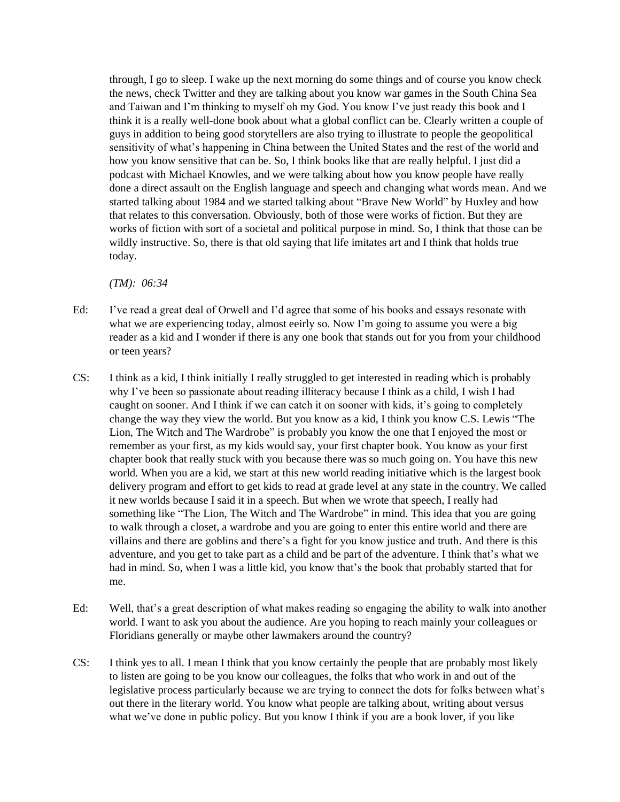through, I go to sleep. I wake up the next morning do some things and of course you know check the news, check Twitter and they are talking about you know war games in the South China Sea and Taiwan and I'm thinking to myself oh my God. You know I've just ready this book and I think it is a really well-done book about what a global conflict can be. Clearly written a couple of guys in addition to being good storytellers are also trying to illustrate to people the geopolitical sensitivity of what's happening in China between the United States and the rest of the world and how you know sensitive that can be. So, I think books like that are really helpful. I just did a podcast with Michael Knowles, and we were talking about how you know people have really done a direct assault on the English language and speech and changing what words mean. And we started talking about 1984 and we started talking about "Brave New World" by Huxley and how that relates to this conversation. Obviously, both of those were works of fiction. But they are works of fiction with sort of a societal and political purpose in mind. So, I think that those can be wildly instructive. So, there is that old saying that life imitates art and I think that holds true today.

*(TM): 06:34*

- Ed: I've read a great deal of Orwell and I'd agree that some of his books and essays resonate with what we are experiencing today, almost eeirly so. Now I'm going to assume you were a big reader as a kid and I wonder if there is any one book that stands out for you from your childhood or teen years?
- CS: I think as a kid, I think initially I really struggled to get interested in reading which is probably why I've been so passionate about reading illiteracy because I think as a child, I wish I had caught on sooner. And I think if we can catch it on sooner with kids, it's going to completely change the way they view the world. But you know as a kid, I think you know C.S. Lewis "The Lion, The Witch and The Wardrobe" is probably you know the one that I enjoyed the most or remember as your first, as my kids would say, your first chapter book. You know as your first chapter book that really stuck with you because there was so much going on. You have this new world. When you are a kid, we start at this new world reading initiative which is the largest book delivery program and effort to get kids to read at grade level at any state in the country. We called it new worlds because I said it in a speech. But when we wrote that speech, I really had something like "The Lion, The Witch and The Wardrobe" in mind. This idea that you are going to walk through a closet, a wardrobe and you are going to enter this entire world and there are villains and there are goblins and there's a fight for you know justice and truth. And there is this adventure, and you get to take part as a child and be part of the adventure. I think that's what we had in mind. So, when I was a little kid, you know that's the book that probably started that for me.
- Ed: Well, that's a great description of what makes reading so engaging the ability to walk into another world. I want to ask you about the audience. Are you hoping to reach mainly your colleagues or Floridians generally or maybe other lawmakers around the country?
- CS: I think yes to all. I mean I think that you know certainly the people that are probably most likely to listen are going to be you know our colleagues, the folks that who work in and out of the legislative process particularly because we are trying to connect the dots for folks between what's out there in the literary world. You know what people are talking about, writing about versus what we've done in public policy. But you know I think if you are a book lover, if you like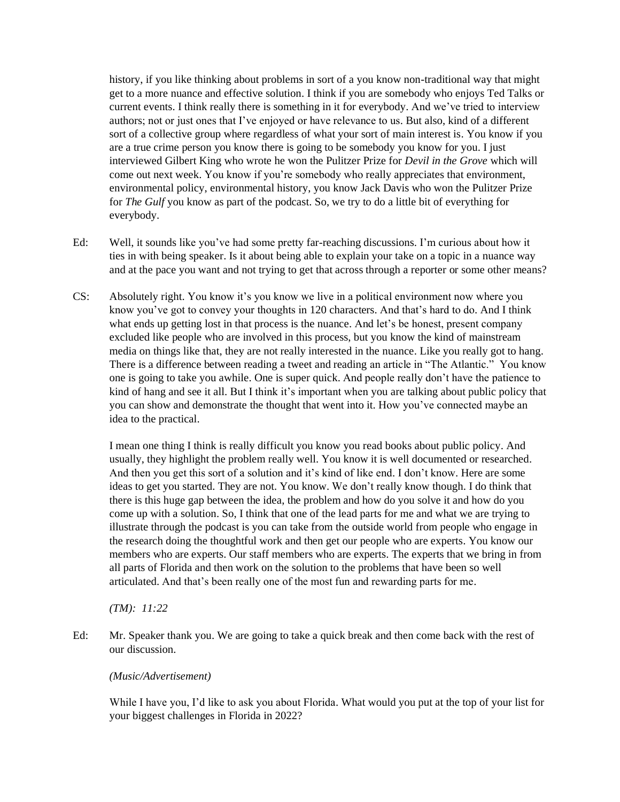history, if you like thinking about problems in sort of a you know non-traditional way that might get to a more nuance and effective solution. I think if you are somebody who enjoys Ted Talks or current events. I think really there is something in it for everybody. And we've tried to interview authors; not or just ones that I've enjoyed or have relevance to us. But also, kind of a different sort of a collective group where regardless of what your sort of main interest is. You know if you are a true crime person you know there is going to be somebody you know for you. I just interviewed Gilbert King who wrote he won the Pulitzer Prize for *Devil in the Grove* which will come out next week. You know if you're somebody who really appreciates that environment, environmental policy, environmental history, you know Jack Davis who won the Pulitzer Prize for *The Gulf* you know as part of the podcast. So, we try to do a little bit of everything for everybody.

- Ed: Well, it sounds like you've had some pretty far-reaching discussions. I'm curious about how it ties in with being speaker. Is it about being able to explain your take on a topic in a nuance way and at the pace you want and not trying to get that across through a reporter or some other means?
- CS: Absolutely right. You know it's you know we live in a political environment now where you know you've got to convey your thoughts in 120 characters. And that's hard to do. And I think what ends up getting lost in that process is the nuance. And let's be honest, present company excluded like people who are involved in this process, but you know the kind of mainstream media on things like that, they are not really interested in the nuance. Like you really got to hang. There is a difference between reading a tweet and reading an article in "The Atlantic." You know one is going to take you awhile. One is super quick. And people really don't have the patience to kind of hang and see it all. But I think it's important when you are talking about public policy that you can show and demonstrate the thought that went into it. How you've connected maybe an idea to the practical.

I mean one thing I think is really difficult you know you read books about public policy. And usually, they highlight the problem really well. You know it is well documented or researched. And then you get this sort of a solution and it's kind of like end. I don't know. Here are some ideas to get you started. They are not. You know. We don't really know though. I do think that there is this huge gap between the idea, the problem and how do you solve it and how do you come up with a solution. So, I think that one of the lead parts for me and what we are trying to illustrate through the podcast is you can take from the outside world from people who engage in the research doing the thoughtful work and then get our people who are experts. You know our members who are experts. Our staff members who are experts. The experts that we bring in from all parts of Florida and then work on the solution to the problems that have been so well articulated. And that's been really one of the most fun and rewarding parts for me.

*(TM): 11:22*

Ed: Mr. Speaker thank you. We are going to take a quick break and then come back with the rest of our discussion.

## *(Music/Advertisement)*

While I have you, I'd like to ask you about Florida. What would you put at the top of your list for your biggest challenges in Florida in 2022?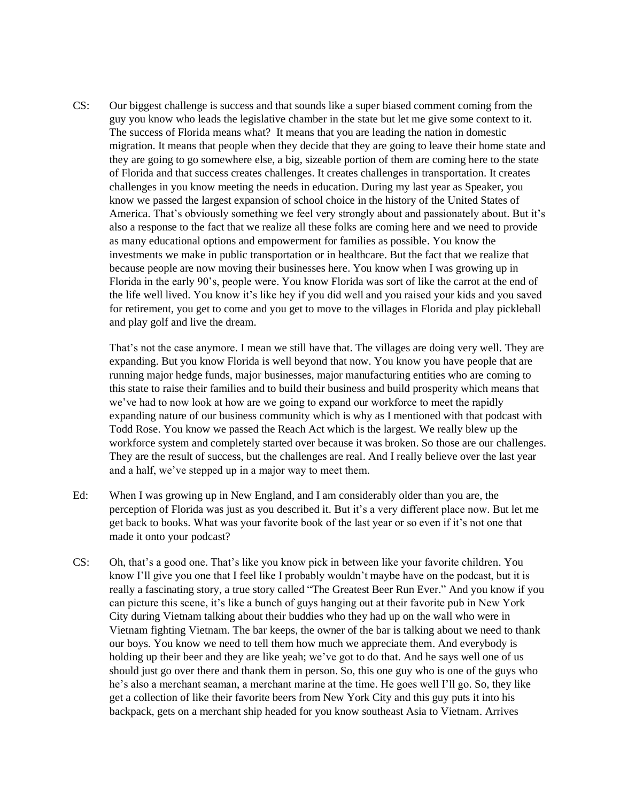CS: Our biggest challenge is success and that sounds like a super biased comment coming from the guy you know who leads the legislative chamber in the state but let me give some context to it. The success of Florida means what? It means that you are leading the nation in domestic migration. It means that people when they decide that they are going to leave their home state and they are going to go somewhere else, a big, sizeable portion of them are coming here to the state of Florida and that success creates challenges. It creates challenges in transportation. It creates challenges in you know meeting the needs in education. During my last year as Speaker, you know we passed the largest expansion of school choice in the history of the United States of America. That's obviously something we feel very strongly about and passionately about. But it's also a response to the fact that we realize all these folks are coming here and we need to provide as many educational options and empowerment for families as possible. You know the investments we make in public transportation or in healthcare. But the fact that we realize that because people are now moving their businesses here. You know when I was growing up in Florida in the early 90's, people were. You know Florida was sort of like the carrot at the end of the life well lived. You know it's like hey if you did well and you raised your kids and you saved for retirement, you get to come and you get to move to the villages in Florida and play pickleball and play golf and live the dream.

That's not the case anymore. I mean we still have that. The villages are doing very well. They are expanding. But you know Florida is well beyond that now. You know you have people that are running major hedge funds, major businesses, major manufacturing entities who are coming to this state to raise their families and to build their business and build prosperity which means that we've had to now look at how are we going to expand our workforce to meet the rapidly expanding nature of our business community which is why as I mentioned with that podcast with Todd Rose. You know we passed the Reach Act which is the largest. We really blew up the workforce system and completely started over because it was broken. So those are our challenges. They are the result of success, but the challenges are real. And I really believe over the last year and a half, we've stepped up in a major way to meet them.

- Ed: When I was growing up in New England, and I am considerably older than you are, the perception of Florida was just as you described it. But it's a very different place now. But let me get back to books. What was your favorite book of the last year or so even if it's not one that made it onto your podcast?
- CS: Oh, that's a good one. That's like you know pick in between like your favorite children. You know I'll give you one that I feel like I probably wouldn't maybe have on the podcast, but it is really a fascinating story, a true story called "The Greatest Beer Run Ever." And you know if you can picture this scene, it's like a bunch of guys hanging out at their favorite pub in New York City during Vietnam talking about their buddies who they had up on the wall who were in Vietnam fighting Vietnam. The bar keeps, the owner of the bar is talking about we need to thank our boys. You know we need to tell them how much we appreciate them. And everybody is holding up their beer and they are like yeah; we've got to do that. And he says well one of us should just go over there and thank them in person. So, this one guy who is one of the guys who he's also a merchant seaman, a merchant marine at the time. He goes well I'll go. So, they like get a collection of like their favorite beers from New York City and this guy puts it into his backpack, gets on a merchant ship headed for you know southeast Asia to Vietnam. Arrives